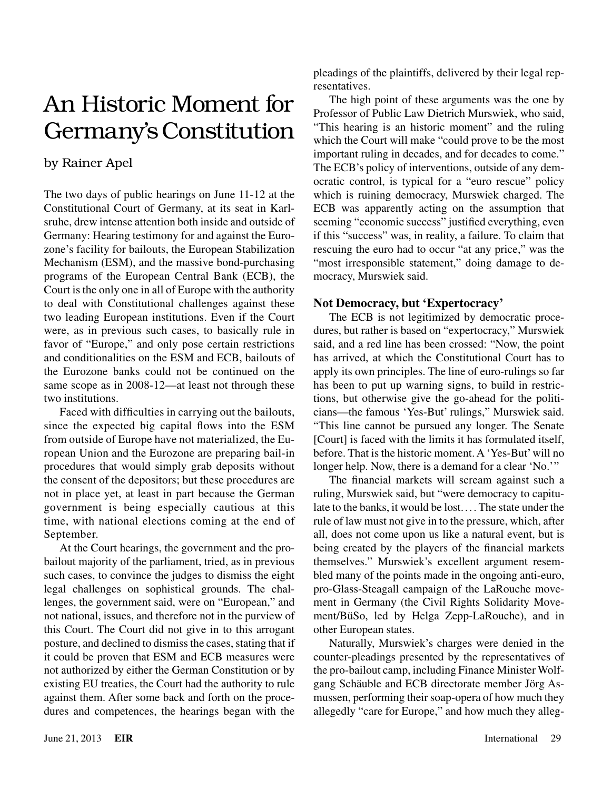## An Historic Moment for Germany's Constitution

## by Rainer Apel

The two days of public hearings on June 11-12 at the Constitutional Court of Germany, at its seat in Karlsruhe, drew intense attention both inside and outside of Germany: Hearing testimony for and against the Eurozone's facility for bailouts, the European Stabilization Mechanism (ESM), and the massive bond-purchasing programs of the European Central Bank (ECB), the Court is the only one in all of Europe with the authority to deal with Constitutional challenges against these two leading European institutions. Even if the Court were, as in previous such cases, to basically rule in favor of "Europe," and only pose certain restrictions and conditionalities on the ESM and ECB, bailouts of the Eurozone banks could not be continued on the same scope as in 2008-12—at least not through these two institutions.

Faced with difficulties in carrying out the bailouts, since the expected big capital flows into the ESM from outside of Europe have not materialized, the European Union and the Eurozone are preparing bail-in procedures that would simply grab deposits without the consent of the depositors; but these procedures are not in place yet, at least in part because the German government is being especially cautious at this time, with national elections coming at the end of September.

At the Court hearings, the government and the probailout majority of the parliament, tried, as in previous such cases, to convince the judges to dismiss the eight legal challenges on sophistical grounds. The challenges, the government said, were on "European," and not national, issues, and therefore not in the purview of this Court. The Court did not give in to this arrogant posture, and declined to dismiss the cases, stating that if it could be proven that ESM and ECB measures were not authorized by either the German Constitution or by existing EU treaties, the Court had the authority to rule against them. After some back and forth on the procedures and competences, the hearings began with the pleadings of the plaintiffs, delivered by their legal representatives.

The high point of these arguments was the one by Professor of Public Law Dietrich Murswiek, who said, "This hearing is an historic moment" and the ruling which the Court will make "could prove to be the most important ruling in decades, and for decades to come." The ECB's policy of interventions, outside of any democratic control, is typical for a "euro rescue" policy which is ruining democracy, Murswiek charged. The ECB was apparently acting on the assumption that seeming "economic success" justified everything, even if this "success" was, in reality, a failure. To claim that rescuing the euro had to occur "at any price," was the "most irresponsible statement," doing damage to democracy, Murswiek said.

## **Not Democracy, but 'Expertocracy'**

The ECB is not legitimized by democratic procedures, but rather is based on "expertocracy," Murswiek said, and a red line has been crossed: "Now, the point has arrived, at which the Constitutional Court has to apply its own principles. The line of euro-rulings so far has been to put up warning signs, to build in restrictions, but otherwise give the go-ahead for the politicians—the famous 'Yes-But' rulings," Murswiek said. "This line cannot be pursued any longer. The Senate [Court] is faced with the limits it has formulated itself, before. That is the historic moment. A 'Yes-But' will no longer help. Now, there is a demand for a clear 'No.'"

The financial markets will scream against such a ruling, Murswiek said, but "were democracy to capitulate to the banks, it would be lost. ... The state under the rule of law must not give in to the pressure, which, after all, does not come upon us like a natural event, but is being created by the players of the financial markets themselves." Murswiek's excellent argument resembled many of the points made in the ongoing anti-euro, pro-Glass-Steagall campaign of the LaRouche movement in Germany (the Civil Rights Solidarity Movement/BüSo, led by Helga Zepp-LaRouche), and in other European states.

Naturally, Murswiek's charges were denied in the counter-pleadings presented by the representatives of the pro-bailout camp, including Finance Minister Wolfgang Schäuble and ECB directorate member Jörg Asmussen, performing their soap-opera of how much they allegedly "care for Europe," and how much they alleg-